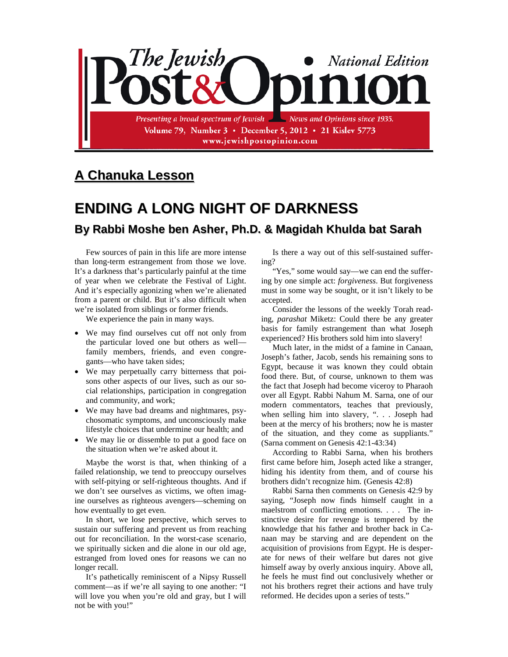

## **A Chanuka Lesson**

## **ENDING A LONG NIGHT OF DARKNESS**

## **By Rabbi Moshe ben Asher, Ph.D. & Magidah Khulda bat Sarah**

Few sources of pain in this life are more intense than long-term estrangement from those we love. It's a darkness that's particularly painful at the time of year when we celebrate the Festival of Light. And it's especially agonizing when we're alienated from a parent or child. But it's also difficult when we're isolated from siblings or former friends.

We experience the pain in many ways.

- We may find ourselves cut off not only from the particular loved one but others as well family members, friends, and even congregants—who have taken sides;
- We may perpetually carry bitterness that poisons other aspects of our lives, such as our social relationships, participation in congregation and community, and work;
- We may have bad dreams and nightmares, psychosomatic symptoms, and unconsciously make lifestyle choices that undermine our health; and
- We may lie or dissemble to put a good face on the situation when we're asked about it.

Maybe the worst is that, when thinking of a failed relationship, we tend to preoccupy ourselves with self-pitying or self-righteous thoughts. And if we don't see ourselves as victims, we often imagine ourselves as righteous avengers—scheming on how eventually to get even.

In short, we lose perspective, which serves to sustain our suffering and prevent us from reaching out for reconciliation. In the worst-case scenario, we spiritually sicken and die alone in our old age, estranged from loved ones for reasons we can no longer recall.

It's pathetically reminiscent of a Nipsy Russell comment—as if we're all saying to one another: "I will love you when you're old and gray, but I will not be with you!"

Is there a way out of this self-sustained suffering?

"Yes," some would say—we can end the suffering by one simple act: *forgiveness*. But forgiveness must in some way be sought, or it isn't likely to be accepted.

Consider the lessons of the weekly Torah reading, *parashat* Miketz: Could there be any greater basis for family estrangement than what Joseph experienced? His brothers sold him into slavery!

Much later, in the midst of a famine in Canaan, Joseph's father, Jacob, sends his remaining sons to Egypt, because it was known they could obtain food there. But, of course, unknown to them was the fact that Joseph had become viceroy to Pharaoh over all Egypt. Rabbi Nahum M. Sarna, one of our modern commentators, teaches that previously, when selling him into slavery, ". . . Joseph had been at the mercy of his brothers; now he is master of the situation, and they come as suppliants." (Sarna comment on Genesis 42:1-43:34)

According to Rabbi Sarna, when his brothers first came before him, Joseph acted like a stranger, hiding his identity from them, and of course his brothers didn't recognize him. (Genesis 42:8)

Rabbi Sarna then comments on Genesis 42:9 by saying, "Joseph now finds himself caught in a maelstrom of conflicting emotions. . . . The instinctive desire for revenge is tempered by the knowledge that his father and brother back in Canaan may be starving and are dependent on the acquisition of provisions from Egypt. He is desperate for news of their welfare but dares not give himself away by overly anxious inquiry. Above all, he feels he must find out conclusively whether or not his brothers regret their actions and have truly reformed. He decides upon a series of tests."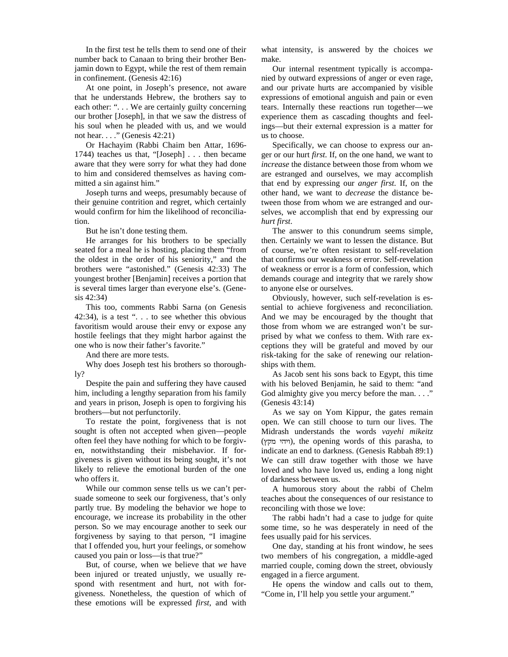In the first test he tells them to send one of their number back to Canaan to bring their brother Benjamin down to Egypt, while the rest of them remain in confinement. (Genesis 42:16)

At one point, in Joseph's presence, not aware that he understands Hebrew, the brothers say to each other: "... We are certainly guilty concerning our brother [Joseph], in that we saw the distress of his soul when he pleaded with us, and we would not hear. . . ." (Genesis 42:21)

Or Hachayim (Rabbi Chaim ben Attar, 1696- 1744) teaches us that, "[Joseph] . . . then became aware that they were sorry for what they had done to him and considered themselves as having committed a sin against him."

Joseph turns and weeps, presumably because of their genuine contrition and regret, which certainly would confirm for him the likelihood of reconciliation.

But he isn't done testing them.

He arranges for his brothers to be specially seated for a meal he is hosting, placing them "from the oldest in the order of his seniority," and the brothers were "astonished." (Genesis 42:33) The youngest brother [Benjamin] receives a portion that is several times larger than everyone else's. (Genesis 42:34)

This too, comments Rabbi Sarna (on Genesis 42:34), is a test " $\ldots$  to see whether this obvious favoritism would arouse their envy or expose any hostile feelings that they might harbor against the one who is now their father's favorite."

And there are more tests.

Why does Joseph test his brothers so thoroughly?

Despite the pain and suffering they have caused him, including a lengthy separation from his family and years in prison, Joseph is open to forgiving his brothers—but not perfunctorily.

To restate the point, forgiveness that is not sought is often not accepted when given—people often feel they have nothing for which to be forgiven, notwithstanding their misbehavior. If forgiveness is given without its being sought, it's not likely to relieve the emotional burden of the one who offers it.

While our common sense tells us we can't persuade someone to seek our forgiveness, that's only partly true. By modeling the behavior we hope to encourage, we increase its probability in the other person. So we may encourage another to seek our forgiveness by saying to that person, "I imagine that I offended you, hurt your feelings, or somehow caused you pain or loss—is that true?"

But, of course, when we believe that *we* have been injured or treated unjustly, we usually respond with resentment and hurt, not with forgiveness. Nonetheless, the question of which of these emotions will be expressed *first*, and with

what intensity, is answered by the choices *we* make.

Our internal resentment typically is accompanied by outward expressions of anger or even rage, and our private hurts are accompanied by visible expressions of emotional anguish and pain or even tears. Internally these reactions run together—we experience them as cascading thoughts and feelings—but their external expression is a matter for us to choose.

Specifically, we can choose to express our anger or our hurt *first*. If, on the one hand, we want to *increase* the distance between those from whom we are estranged and ourselves, we may accomplish that end by expressing our *anger first*. If, on the other hand, we want to *decrease* the distance between those from whom we are estranged and ourselves, we accomplish that end by expressing our *hurt first*.

The answer to this conundrum seems simple, then. Certainly we want to lessen the distance. But of course, we're often resistant to self-revelation that confirms our weakness or error. Self-revelation of weakness or error is a form of confession, which demands courage and integrity that we rarely show to anyone else or ourselves.

Obviously, however, such self-revelation is essential to achieve forgiveness and reconciliation. And we may be encouraged by the thought that those from whom we are estranged won't be surprised by what we confess to them. With rare exceptions they will be grateful and moved by our risk-taking for the sake of renewing our relationships with them.

As Jacob sent his sons back to Egypt, this time with his beloved Benjamin, he said to them: "and God almighty give you mercy before the man. . . ." (Genesis 43:14)

As we say on Yom Kippur, the gates remain open. We can still choose to turn our lives. The Midrash understands the words *vayehi mikeitz* (ויהי מקץ), the opening words of this parasha, to indicate an end to darkness. (Genesis Rabbah 89:1) We can still draw together with those we have loved and who have loved us, ending a long night of darkness between us.

A humorous story about the rabbi of Chelm teaches about the consequences of our resistance to reconciling with those we love:

The rabbi hadn't had a case to judge for quite some time, so he was desperately in need of the fees usually paid for his services.

One day, standing at his front window, he sees two members of his congregation, a middle-aged married couple, coming down the street, obviously engaged in a fierce argument.

He opens the window and calls out to them, "Come in, I'll help you settle your argument."